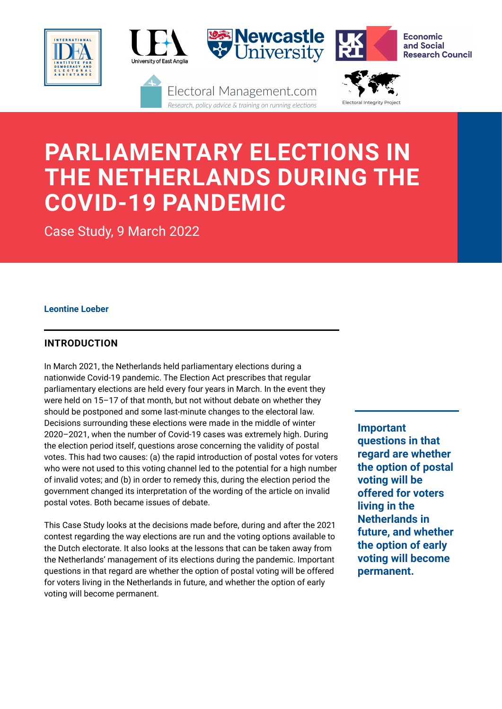

# **PARLIAMENTARY ELECTIONS IN THE NETHERLANDS DURING THE COVID-19 PANDEMIC**

Case Study, 9 March 2022

# **Leontine Loeber**

# **INTRODUCTION**

In March 2021, the Netherlands held parliamentary elections during a nationwide Covid-19 pandemic. The Election Act prescribes that regular parliamentary elections are held every four years in March. In the event they were held on 15–17 of that month, but not without debate on whether they should be postponed and some last-minute changes to the electoral law. Decisions surrounding these elections were made in the middle of winter 2020–2021, when the number of Covid-19 cases was extremely high. During the election period itself, questions arose concerning the validity of postal votes. This had two causes: (a) the rapid introduction of postal votes for voters who were not used to this voting channel led to the potential for a high number of invalid votes; and (b) in order to remedy this, during the election period the government changed its interpretation of the wording of the article on invalid postal votes. Both became issues of debate.

This Case Study looks at the decisions made before, during and after the 2021 contest regarding the way elections are run and the voting options available to the Dutch electorate. It also looks at the lessons that can be taken away from the Netherlands' management of its elections during the pandemic. Important questions in that regard are whether the option of postal voting will be offered for voters living in the Netherlands in future, and whether the option of early voting will become permanent.

**Important questions in that regard are whether the option of postal voting will be offered for voters living in the Netherlands in future, and whether the option of early voting will become permanent.**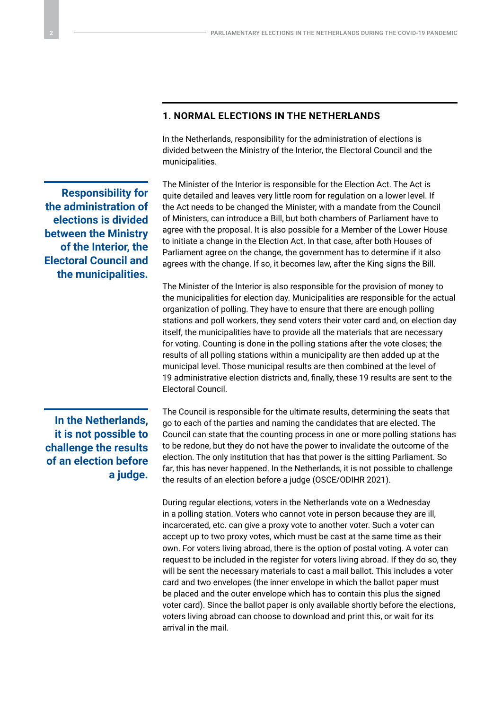# **1. NORMAL ELECTIONS IN THE NETHERLANDS**

In the Netherlands, responsibility for the administration of elections is divided between the Ministry of the Interior, the Electoral Council and the municipalities.

The Minister of the Interior is responsible for the Election Act. The Act is quite detailed and leaves very little room for regulation on a lower level. If the Act needs to be changed the Minister, with a mandate from the Council of Ministers, can introduce a Bill, but both chambers of Parliament have to agree with the proposal. It is also possible for a Member of the Lower House to initiate a change in the Election Act. In that case, after both Houses of Parliament agree on the change, the government has to determine if it also agrees with the change. If so, it becomes law, after the King signs the Bill.

The Minister of the Interior is also responsible for the provision of money to the municipalities for election day. Municipalities are responsible for the actual organization of polling. They have to ensure that there are enough polling stations and poll workers, they send voters their voter card and, on election day itself, the municipalities have to provide all the materials that are necessary for voting. Counting is done in the polling stations after the vote closes; the results of all polling stations within a municipality are then added up at the municipal level. Those municipal results are then combined at the level of 19 administrative election districts and, finally, these 19 results are sent to the Electoral Council.

# **In the Netherlands, it is not possible to challenge the results of an election before a judge.**

**Responsibility for the administration of elections is divided between the Ministry of the Interior, the Electoral Council and the municipalities.**

> The Council is responsible for the ultimate results, determining the seats that go to each of the parties and naming the candidates that are elected. The Council can state that the counting process in one or more polling stations has to be redone, but they do not have the power to invalidate the outcome of the election. The only institution that has that power is the sitting Parliament. So far, this has never happened. In the Netherlands, it is not possible to challenge the results of an election before a judge (OSCE/ODIHR 2021).

> During regular elections, voters in the Netherlands vote on a Wednesday in a polling station. Voters who cannot vote in person because they are ill, incarcerated, etc. can give a proxy vote to another voter. Such a voter can accept up to two proxy votes, which must be cast at the same time as their own. For voters living abroad, there is the option of postal voting. A voter can request to be included in the register for voters living abroad. If they do so, they will be sent the necessary materials to cast a mail ballot. This includes a voter card and two envelopes (the inner envelope in which the ballot paper must be placed and the outer envelope which has to contain this plus the signed voter card). Since the ballot paper is only available shortly before the elections, voters living abroad can choose to download and print this, or wait for its arrival in the mail.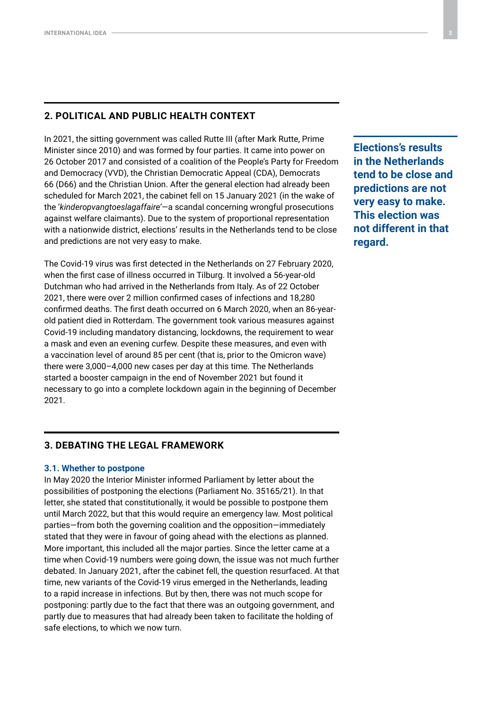# **2. POLITICAL AND PUBLIC HEALTH CONTEXT**

In 2021, the sitting government was called Rutte III (after Mark Rutte, Prime Minister since 2010) and was formed by four parties. It came into power on 26 October 2017 and consisted of a coalition of the People's Party for Freedom and Democracy (VVD), the Christian Democratic Appeal (CDA), Democrats 66 (D66) and the Christian Union. After the general election had already been scheduled for March 2021, the cabinet fell on 15 January 2021 (in the wake of the '*kinderopvangtoeslagaffaire'*—a scandal concerning wrongful prosecutions against welfare claimants). Due to the system of proportional representation with a nationwide district, elections' results in the Netherlands tend to be close and predictions are not very easy to make.

The Covid-19 virus was first detected in the Netherlands on 27 February 2020, when the first case of illness occurred in Tilburg. It involved a 56-year-old Dutchman who had arrived in the Netherlands from Italy. As of 22 October 2021, there were over 2 million confirmed cases of infections and 18,280 confirmed deaths. The first death occurred on 6 March 2020, when an 86-yearold patient died in Rotterdam. The government took various measures against Covid-19 including mandatory distancing, lockdowns, the requirement to wear a mask and even an evening curfew. Despite these measures, and even with a vaccination level of around 85 per cent (that is, prior to the Omicron wave) there were 3,000–4,000 new cases per day at this time. The Netherlands started a booster campaign in the end of November 2021 but found it necessary to go into a complete lockdown again in the beginning of December 2021.

**3. DEBATING THE LEGAL FRAMEWORK**

## **3.1. Whether to postpone**

In May 2020 the Interior Minister informed Parliament by letter about the possibilities of postponing the elections (Parliament No. 35165/21). In that letter, she stated that constitutionally, it would be possible to postpone them until March 2022, but that this would require an emergency law. Most political parties—from both the governing coalition and the opposition—immediately stated that they were in favour of going ahead with the elections as planned. More important, this included all the major parties. Since the letter came at a time when Covid-19 numbers were going down, the issue was not much further debated. In January 2021, after the cabinet fell, the question resurfaced. At that time, new variants of the Covid-19 virus emerged in the Netherlands, leading to a rapid increase in infections. But by then, there was not much scope for postponing: partly due to the fact that there was an outgoing government, and partly due to measures that had already been taken to facilitate the holding of safe elections, to which we now turn.

**Elections's results in the Netherlands tend to be close and predictions are not very easy to make. This election was not different in that regard.**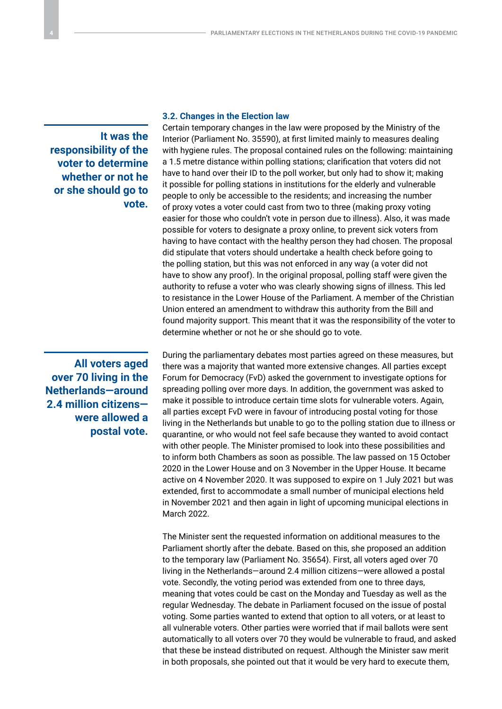**It was the responsibility of the voter to determine whether or not he or she should go to vote.**

**All voters aged over 70 living in the Netherlands—around 2.4 million citizens were allowed a postal vote.**

#### **3.2. Changes in the Election law**

Certain temporary changes in the law were proposed by the Ministry of the Interior (Parliament No. 35590), at first limited mainly to measures dealing with hygiene rules. The proposal contained rules on the following: maintaining a 1.5 metre distance within polling stations; clarification that voters did not have to hand over their ID to the poll worker, but only had to show it; making it possible for polling stations in institutions for the elderly and vulnerable people to only be accessible to the residents; and increasing the number of proxy votes a voter could cast from two to three (making proxy voting easier for those who couldn't vote in person due to illness). Also, it was made possible for voters to designate a proxy online, to prevent sick voters from having to have contact with the healthy person they had chosen. The proposal did stipulate that voters should undertake a health check before going to the polling station, but this was not enforced in any way (a voter did not have to show any proof). In the original proposal, polling staff were given the authority to refuse a voter who was clearly showing signs of illness. This led to resistance in the Lower House of the Parliament. A member of the Christian Union entered an amendment to withdraw this authority from the Bill and found majority support. This meant that it was the responsibility of the voter to determine whether or not he or she should go to vote.

During the parliamentary debates most parties agreed on these measures, but there was a majority that wanted more extensive changes. All parties except Forum for Democracy (FvD) asked the government to investigate options for spreading polling over more days. In addition, the government was asked to make it possible to introduce certain time slots for vulnerable voters. Again, all parties except FvD were in favour of introducing postal voting for those living in the Netherlands but unable to go to the polling station due to illness or quarantine, or who would not feel safe because they wanted to avoid contact with other people. The Minister promised to look into these possibilities and to inform both Chambers as soon as possible. The law passed on 15 October 2020 in the Lower House and on 3 November in the Upper House. It became active on 4 November 2020. It was supposed to expire on 1 July 2021 but was extended, first to accommodate a small number of municipal elections held in November 2021 and then again in light of upcoming municipal elections in March 2022.

The Minister sent the requested information on additional measures to the Parliament shortly after the debate. Based on this, she proposed an addition to the temporary law (Parliament No. 35654). First, all voters aged over 70 living in the Netherlands—around 2.4 million citizens—were allowed a postal vote. Secondly, the voting period was extended from one to three days, meaning that votes could be cast on the Monday and Tuesday as well as the regular Wednesday. The debate in Parliament focused on the issue of postal voting. Some parties wanted to extend that option to all voters, or at least to all vulnerable voters. Other parties were worried that if mail ballots were sent automatically to all voters over 70 they would be vulnerable to fraud, and asked that these be instead distributed on request. Although the Minister saw merit in both proposals, she pointed out that it would be very hard to execute them,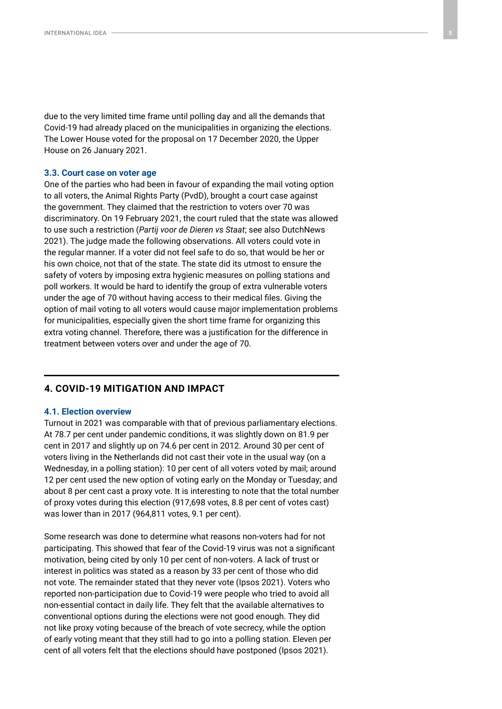due to the very limited time frame until polling day and all the demands that Covid-19 had already placed on the municipalities in organizing the elections. The Lower House voted for the proposal on 17 December 2020, the Upper House on 26 January 2021.

#### **3.3. Court case on voter age**

One of the parties who had been in favour of expanding the mail voting option to all voters, the Animal Rights Party (PvdD), brought a court case against the government. They claimed that the restriction to voters over 70 was discriminatory. On 19 February 2021, the court ruled that the state was allowed to use such a restriction (*Partij voor de Dieren vs Staat*; see also DutchNews 2021). The judge made the following observations. All voters could vote in the regular manner. If a voter did not feel safe to do so, that would be her or his own choice, not that of the state. The state did its utmost to ensure the safety of voters by imposing extra hygienic measures on polling stations and poll workers. It would be hard to identify the group of extra vulnerable voters under the age of 70 without having access to their medical files. Giving the option of mail voting to all voters would cause major implementation problems for municipalities, especially given the short time frame for organizing this extra voting channel. Therefore, there was a justification for the difference in treatment between voters over and under the age of 70.

## **4. COVID-19 MITIGATION AND IMPACT**

#### **4.1. Election overview**

Turnout in 2021 was comparable with that of previous parliamentary elections. At 78.7 per cent under pandemic conditions, it was slightly down on 81.9 per cent in 2017 and slightly up on 74.6 per cent in 2012. Around 30 per cent of voters living in the Netherlands did not cast their vote in the usual way (on a Wednesday, in a polling station): 10 per cent of all voters voted by mail; around 12 per cent used the new option of voting early on the Monday or Tuesday; and about 8 per cent cast a proxy vote. It is interesting to note that the total number of proxy votes during this election (917,698 votes, 8.8 per cent of votes cast) was lower than in 2017 (964,811 votes, 9.1 per cent).

Some research was done to determine what reasons non-voters had for not participating. This showed that fear of the Covid-19 virus was not a significant motivation, being cited by only 10 per cent of non-voters. A lack of trust or interest in politics was stated as a reason by 33 per cent of those who did not vote. The remainder stated that they never vote (Ipsos 2021). Voters who reported non-participation due to Covid-19 were people who tried to avoid all non-essential contact in daily life. They felt that the available alternatives to conventional options during the elections were not good enough. They did not like proxy voting because of the breach of vote secrecy, while the option of early voting meant that they still had to go into a polling station. Eleven per cent of all voters felt that the elections should have postponed (Ipsos 2021).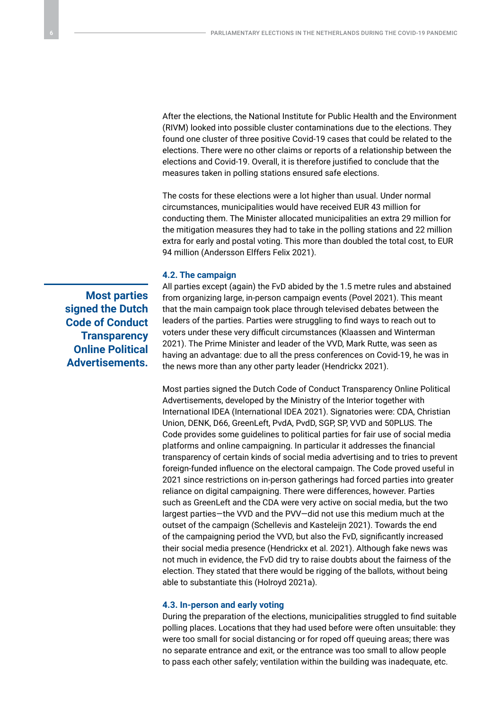After the elections, the National Institute for Public Health and the Environment (RIVM) looked into possible cluster contaminations due to the elections. They found one cluster of three positive Covid-19 cases that could be related to the elections. There were no other claims or reports of a relationship between the elections and Covid-19. Overall, it is therefore justified to conclude that the measures taken in polling stations ensured safe elections.

The costs for these elections were a lot higher than usual. Under normal circumstances, municipalities would have received EUR 43 million for conducting them. The Minister allocated municipalities an extra 29 million for the mitigation measures they had to take in the polling stations and 22 million extra for early and postal voting. This more than doubled the total cost, to EUR 94 million (Andersson Elffers Felix 2021).

#### **4.2. The campaign**

**Most parties signed the Dutch Code of Conduct Transparency Online Political Advertisements.**

All parties except (again) the FvD abided by the 1.5 metre rules and abstained from organizing large, in-person campaign events (Povel 2021). This meant that the main campaign took place through televised debates between the leaders of the parties. Parties were struggling to find ways to reach out to voters under these very difficult circumstances (Klaassen and Winterman 2021). The Prime Minister and leader of the VVD, Mark Rutte, was seen as having an advantage: due to all the press conferences on Covid-19, he was in the news more than any other party leader (Hendrickx 2021).

Most parties signed the Dutch Code of Conduct Transparency Online Political Advertisements, developed by the Ministry of the Interior together with International IDEA (International IDEA 2021). Signatories were: CDA, Christian Union, DENK, D66, GreenLeft, PvdA, PvdD, SGP, SP, VVD and 50PLUS. The Code provides some guidelines to political parties for fair use of social media platforms and online campaigning. In particular it addresses the financial transparency of certain kinds of social media advertising and to tries to prevent foreign-funded influence on the electoral campaign. The Code proved useful in 2021 since restrictions on in-person gatherings had forced parties into greater reliance on digital campaigning. There were differences, however. Parties such as GreenLeft and the CDA were very active on social media, but the two largest parties—the VVD and the PVV—did not use this medium much at the outset of the campaign (Schellevis and Kasteleijn 2021). Towards the end of the campaigning period the VVD, but also the FvD, significantly increased their social media presence (Hendrickx et al. 2021). Although fake news was not much in evidence, the FvD did try to raise doubts about the fairness of the election. They stated that there would be rigging of the ballots, without being able to substantiate this (Holroyd 2021a).

#### **4.3. In-person and early voting**

During the preparation of the elections, municipalities struggled to find suitable polling places. Locations that they had used before were often unsuitable: they were too small for social distancing or for roped off queuing areas; there was no separate entrance and exit, or the entrance was too small to allow people to pass each other safely; ventilation within the building was inadequate, etc.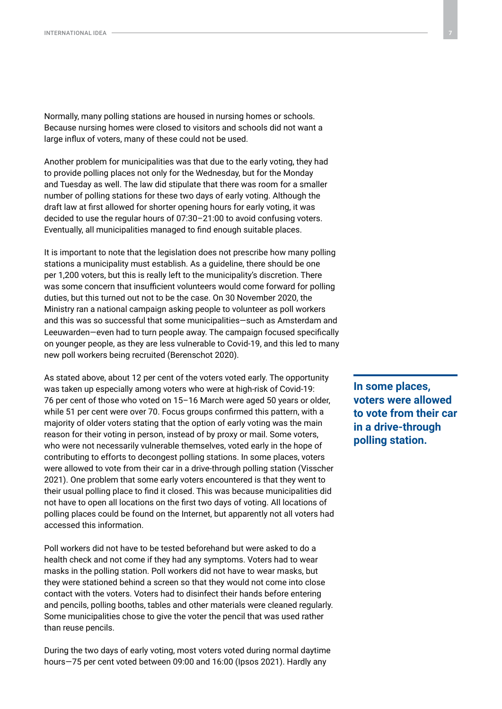Normally, many polling stations are housed in nursing homes or schools. Because nursing homes were closed to visitors and schools did not want a large influx of voters, many of these could not be used.

Another problem for municipalities was that due to the early voting, they had to provide polling places not only for the Wednesday, but for the Monday and Tuesday as well. The law did stipulate that there was room for a smaller number of polling stations for these two days of early voting. Although the draft law at first allowed for shorter opening hours for early voting, it was decided to use the regular hours of 07:30–21:00 to avoid confusing voters. Eventually, all municipalities managed to find enough suitable places.

It is important to note that the legislation does not prescribe how many polling stations a municipality must establish. As a guideline, there should be one per 1,200 voters, but this is really left to the municipality's discretion. There was some concern that insufficient volunteers would come forward for polling duties, but this turned out not to be the case. On 30 November 2020, the Ministry ran a national campaign asking people to volunteer as poll workers and this was so successful that some municipalities—such as Amsterdam and Leeuwarden—even had to turn people away. The campaign focused specifically on younger people, as they are less vulnerable to Covid-19, and this led to many new poll workers being recruited (Berenschot 2020).

As stated above, about 12 per cent of the voters voted early. The opportunity was taken up especially among voters who were at high-risk of Covid-19: 76 per cent of those who voted on 15–16 March were aged 50 years or older, while 51 per cent were over 70. Focus groups confirmed this pattern, with a majority of older voters stating that the option of early voting was the main reason for their voting in person, instead of by proxy or mail. Some voters, who were not necessarily vulnerable themselves, voted early in the hope of contributing to efforts to decongest polling stations. In some places, voters were allowed to vote from their car in a drive-through polling station (Visscher 2021). One problem that some early voters encountered is that they went to their usual polling place to find it closed. This was because municipalities did not have to open all locations on the first two days of voting. All locations of polling places could be found on the Internet, but apparently not all voters had accessed this information.

Poll workers did not have to be tested beforehand but were asked to do a health check and not come if they had any symptoms. Voters had to wear masks in the polling station. Poll workers did not have to wear masks, but they were stationed behind a screen so that they would not come into close contact with the voters. Voters had to disinfect their hands before entering and pencils, polling booths, tables and other materials were cleaned regularly. Some municipalities chose to give the voter the pencil that was used rather than reuse pencils.

During the two days of early voting, most voters voted during normal daytime hours—75 per cent voted between 09:00 and 16:00 (Ipsos 2021). Hardly any

**In some places, voters were allowed to vote from their car in a drive-through polling station.**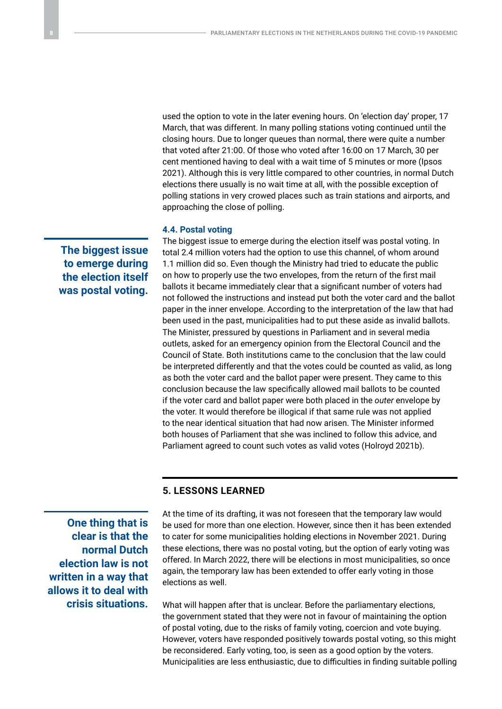used the option to vote in the later evening hours. On 'election day' proper, 17 March, that was different. In many polling stations voting continued until the closing hours. Due to longer queues than normal, there were quite a number that voted after 21:00. Of those who voted after 16:00 on 17 March, 30 per cent mentioned having to deal with a wait time of 5 minutes or more (Ipsos 2021). Although this is very little compared to other countries, in normal Dutch elections there usually is no wait time at all, with the possible exception of polling stations in very crowed places such as train stations and airports, and approaching the close of polling.

#### **4.4. Postal voting**

The biggest issue to emerge during the election itself was postal voting. In total 2.4 million voters had the option to use this channel, of whom around 1.1 million did so. Even though the Ministry had tried to educate the public on how to properly use the two envelopes, from the return of the first mail ballots it became immediately clear that a significant number of voters had not followed the instructions and instead put both the voter card and the ballot paper in the inner envelope. According to the interpretation of the law that had been used in the past, municipalities had to put these aside as invalid ballots. The Minister, pressured by questions in Parliament and in several media outlets, asked for an emergency opinion from the Electoral Council and the Council of State. Both institutions came to the conclusion that the law could be interpreted differently and that the votes could be counted as valid, as long as both the voter card and the ballot paper were present. They came to this conclusion because the law specifically allowed mail ballots to be counted if the voter card and ballot paper were both placed in the *outer* envelope by the voter. It would therefore be illogical if that same rule was not applied to the near identical situation that had now arisen. The Minister informed both houses of Parliament that she was inclined to follow this advice, and Parliament agreed to count such votes as valid votes (Holroyd 2021b).

#### **5. LESSONS LEARNED**

**One thing that is clear is that the normal Dutch election law is not written in a way that allows it to deal with crisis situations.**

At the time of its drafting, it was not foreseen that the temporary law would be used for more than one election. However, since then it has been extended to cater for some municipalities holding elections in November 2021. During these elections, there was no postal voting, but the option of early voting was offered. In March 2022, there will be elections in most municipalities, so once again, the temporary law has been extended to offer early voting in those elections as well.

What will happen after that is unclear. Before the parliamentary elections, the government stated that they were not in favour of maintaining the option of postal voting, due to the risks of family voting, coercion and vote buying. However, voters have responded positively towards postal voting, so this might be reconsidered. Early voting, too, is seen as a good option by the voters. Municipalities are less enthusiastic, due to difficulties in finding suitable polling

**The biggest issue to emerge during the election itself was postal voting.**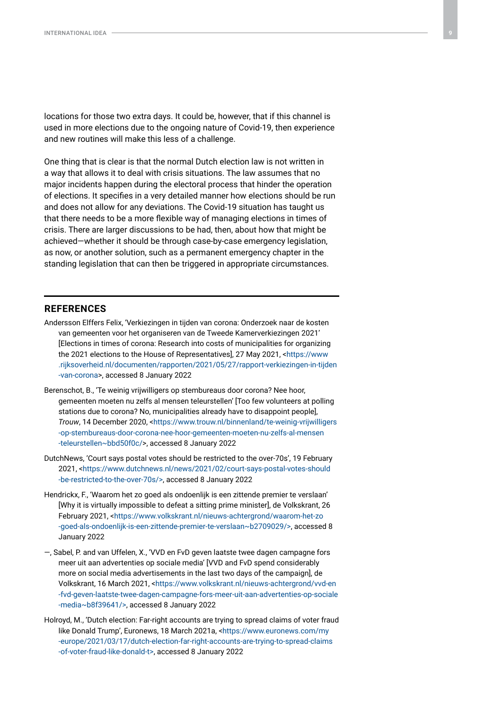locations for those two extra days. It could be, however, that if this channel is used in more elections due to the ongoing nature of Covid-19, then experience and new routines will make this less of a challenge.

One thing that is clear is that the normal Dutch election law is not written in a way that allows it to deal with crisis situations. The law assumes that no major incidents happen during the electoral process that hinder the operation of elections. It specifies in a very detailed manner how elections should be run and does not allow for any deviations. The Covid-19 situation has taught us that there needs to be a more flexible way of managing elections in times of crisis. There are larger discussions to be had, then, about how that might be achieved—whether it should be through case-by-case emergency legislation, as now, or another solution, such as a permanent emergency chapter in the standing legislation that can then be triggered in appropriate circumstances.

#### **REFERENCES**

- Andersson Elffers Felix, 'Verkiezingen in tijden van corona: Onderzoek naar de kosten van gemeenten voor het organiseren van de Tweede Kamerverkiezingen 2021' [Elections in times of corona: Research into costs of municipalities for organizing the 2021 elections to the House of Representatives], 27 May 2021, <[https://www](https://www.rijksoverheid.nl/documenten/rapporten/2021/05/27/rapport-verkiezingen-in-tijden-van-corona) [.rijksoverheid.nl/documenten/rapporten/2021/05/27/rapport-verkiezingen-in-tijden](https://www.rijksoverheid.nl/documenten/rapporten/2021/05/27/rapport-verkiezingen-in-tijden-van-corona) [-van-corona](https://www.rijksoverheid.nl/documenten/rapporten/2021/05/27/rapport-verkiezingen-in-tijden-van-corona)>, accessed 8 January 2022
- Berenschot, B., 'Te weinig vrijwilligers op stembureaus door corona? Nee hoor, gemeenten moeten nu zelfs al mensen teleurstellen' [Too few volunteers at polling stations due to corona? No, municipalities already have to disappoint people], *Trouw*, 14 December 2020, [<https://www.trouw.nl/binnenland/te-weinig-vrijwilligers](https://www.trouw.nl/binnenland/te-weinig-vrijwilligers-op-stembureaus-door-corona-nee-hoor-gemeenten-moeten-nu-zelfs-al-mensen-teleurstellen~bbd50f0c/) [-op-stembureaus-door-corona-nee-hoor-gemeenten-moeten-nu-zelfs-al-mensen](https://www.trouw.nl/binnenland/te-weinig-vrijwilligers-op-stembureaus-door-corona-nee-hoor-gemeenten-moeten-nu-zelfs-al-mensen-teleurstellen~bbd50f0c/) [-teleurstellen~bbd50f0c/](https://www.trouw.nl/binnenland/te-weinig-vrijwilligers-op-stembureaus-door-corona-nee-hoor-gemeenten-moeten-nu-zelfs-al-mensen-teleurstellen~bbd50f0c/)>, accessed 8 January 2022
- DutchNews, 'Court says postal votes should be restricted to the over-70s', 19 February 2021, [<https://www.dutchnews.nl/news/2021/02/court-says-postal-votes-should](https://www.dutchnews.nl/news/2021/02/court-says-postal-votes-should-be-restricted-to-the-over-70s/) [-be-restricted-to-the-over-70s/](https://www.dutchnews.nl/news/2021/02/court-says-postal-votes-should-be-restricted-to-the-over-70s/)>, accessed 8 January 2022
- Hendrickx, F., 'Waarom het zo goed als ondoenlijk is een zittende premier te verslaan' [Why it is virtually impossible to defeat a sitting prime minister], de Volkskrant, 26 February 2021, [<https://www.volkskrant.nl/nieuws-achtergrond/waarom-het-zo](https://www.volkskrant.nl/nieuws-achtergrond/waarom-het-zo-goed-als-ondoenlijk-is-een-zittende-premier-te-verslaan~b2709029/) [-goed-als-ondoenlijk-is-een-zittende-premier-te-verslaan~b2709029/](https://www.volkskrant.nl/nieuws-achtergrond/waarom-het-zo-goed-als-ondoenlijk-is-een-zittende-premier-te-verslaan~b2709029/)>, accessed 8 January 2022
- —, Sabel, P. and van Uffelen, X., 'VVD en FvD geven laatste twee dagen campagne fors meer uit aan advertenties op sociale media' [VVD and FvD spend considerably more on social media advertisements in the last two days of the campaign], de Volkskrant, 16 March 2021, [<https://www.volkskrant.nl/nieuws-achtergrond/vvd-en](https://www.volkskrant.nl/nieuws-achtergrond/vvd-en-fvd-geven-laatste-twee-dagen-campagne-fors-meer-uit-aan-advertenties-op-sociale-media~b8f39641/) [-fvd-geven-laatste-twee-dagen-campagne-fors-meer-uit-aan-advertenties-op-sociale](https://www.volkskrant.nl/nieuws-achtergrond/vvd-en-fvd-geven-laatste-twee-dagen-campagne-fors-meer-uit-aan-advertenties-op-sociale-media~b8f39641/) [-media~b8f39641/](https://www.volkskrant.nl/nieuws-achtergrond/vvd-en-fvd-geven-laatste-twee-dagen-campagne-fors-meer-uit-aan-advertenties-op-sociale-media~b8f39641/)>, accessed 8 January 2022
- Holroyd, M., 'Dutch election: Far-right accounts are trying to spread claims of voter fraud like Donald Trump', Euronews, 18 March 2021a, <[https://www.euronews.com/my](https://www.euronews.com/my-europe/2021/03/17/dutch-election-far-right-accounts-are-trying-to-spread-claims-of-voter-fraud-like-donald-t) [-europe/2021/03/17/dutch-election-far-right-accounts-are-trying-to-spread-claims](https://www.euronews.com/my-europe/2021/03/17/dutch-election-far-right-accounts-are-trying-to-spread-claims-of-voter-fraud-like-donald-t) [-of-voter-fraud-like-donald-t>](https://www.euronews.com/my-europe/2021/03/17/dutch-election-far-right-accounts-are-trying-to-spread-claims-of-voter-fraud-like-donald-t), accessed 8 January 2022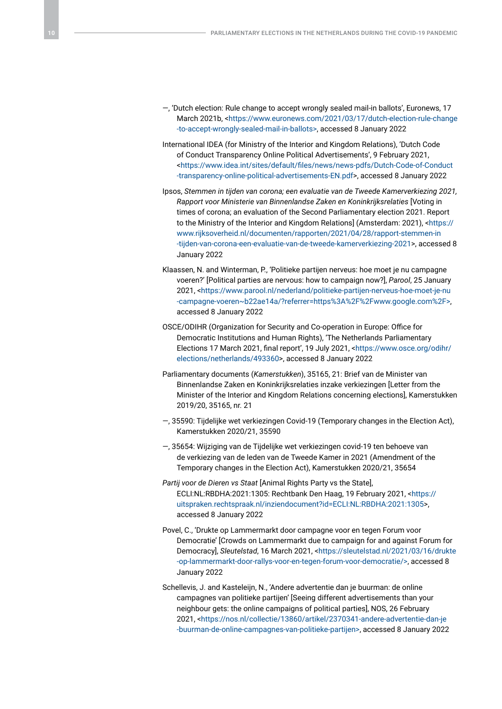- —, 'Dutch election: Rule change to accept wrongly sealed mail-in ballots', Euronews, 17 March 2021b, [<https://www.euronews.com/2021/03/17/dutch-election-rule-change](https://www.euronews.com/2021/03/17/dutch-election-rule-change-to-accept-wrongly-sealed-mail-in-ballots) [-to-accept-wrongly-sealed-mail-in-ballots](https://www.euronews.com/2021/03/17/dutch-election-rule-change-to-accept-wrongly-sealed-mail-in-ballots)>, accessed 8 January 2022
- International IDEA (for Ministry of the Interior and Kingdom Relations), 'Dutch Code of Conduct Transparency Online Political Advertisements', 9 February 2021, <[https://www.idea.int/sites/default/files/news/news-pdfs/Dutch-Code-of-Conduct](https://www.idea.int/sites/default/files/news/news-pdfs/Dutch-Code-of-Conduct-transparency-online-political-advertisements-EN.pdf) [-transparency-online-political-advertisements-EN.pdf](https://www.idea.int/sites/default/files/news/news-pdfs/Dutch-Code-of-Conduct-transparency-online-political-advertisements-EN.pdf)>, accessed 8 January 2022
- Ipsos, *Stemmen in tijden van corona; een evaluatie van de Tweede Kamerverkiezing 2021, Rapport voor Ministerie van Binnenlandse Zaken en Koninkrijksrelaties* [Voting in times of corona; an evaluation of the Second Parliamentary election 2021. Report to the Ministry of the Interior and Kingdom Relations] (Amsterdam: 2021), <[https://](https://www.rijksoverheid.nl/documenten/rapporten/2021/04/28/rapport-stemmen-in-tijden-van-corona-een-evaluatie-van-de-tweede-kamerverkiezing-2021) [www.rijksoverheid.nl/documenten/rapporten/2021/04/28/rapport-stemmen-in](https://www.rijksoverheid.nl/documenten/rapporten/2021/04/28/rapport-stemmen-in-tijden-van-corona-een-evaluatie-van-de-tweede-kamerverkiezing-2021) [-tijden-van-corona-een-evaluatie-van-de-tweede-kamerverkiezing-2021](https://www.rijksoverheid.nl/documenten/rapporten/2021/04/28/rapport-stemmen-in-tijden-van-corona-een-evaluatie-van-de-tweede-kamerverkiezing-2021)>, accessed 8 January 2022
- Klaassen, N. and Winterman, P., 'Politieke partijen nerveus: hoe moet je nu campagne voeren?' [Political parties are nervous: how to campaign now?], *Parool*, 25 January 2021, <[https://www.parool.nl/nederland/politieke-partijen-nerveus-hoe-moet-je-nu](https://www.parool.nl/nederland/politieke-partijen-nerveus-hoe-moet-je-nu-campagne-voeren~b22ae14a/?referrer=https%3A%2F%2Fwww.google.com%2F) [-campagne-voeren~b22ae14a/?referrer=https%3A%2F%2Fwww.google.com%2F](https://www.parool.nl/nederland/politieke-partijen-nerveus-hoe-moet-je-nu-campagne-voeren~b22ae14a/?referrer=https%3A%2F%2Fwww.google.com%2F)>, accessed 8 January 2022
- OSCE/ODIHR (Organization for Security and Co-operation in Europe: Office for Democratic Institutions and Human Rights), 'The Netherlands Parliamentary Elections 17 March 2021, final report', 19 July 2021, <[https://www.osce.org/odihr/](https://www.osce.org/odihr/elections/netherlands/493360) [elections/netherlands/493360](https://www.osce.org/odihr/elections/netherlands/493360)>, accessed 8 January 2022
- Parliamentary documents (*Kamerstukken*), 35165, 21: Brief van de Minister van Binnenlandse Zaken en Koninkrijksrelaties inzake verkiezingen [Letter from the Minister of the Interior and Kingdom Relations concerning elections], Kamerstukken 2019/20, 35165, nr. 21
- —, 35590: Tijdelijke wet verkiezingen Covid-19 (Temporary changes in the Election Act), Kamerstukken 2020/21, 35590
- —, 35654: Wijziging van de Tijdelijke wet verkiezingen covid-19 ten behoeve van de verkiezing van de leden van de Tweede Kamer in 2021 (Amendment of the Temporary changes in the Election Act), Kamerstukken 2020/21, 35654
- *Partij voor de Dieren vs Staat* [Animal Rights Party vs the State], ECLI:NL:RBDHA:2021:1305: Rechtbank Den Haag, 19 February 2021, [<https://](https://uitspraken.rechtspraak.nl/inziendocument?id=ECLI:NL:RBDHA:2021:1305) [uitspraken.rechtspraak.nl/inziendocument?id=ECLI:NL:RBDHA:2021:1305>](https://uitspraken.rechtspraak.nl/inziendocument?id=ECLI:NL:RBDHA:2021:1305), accessed 8 January 2022
- Povel, C., 'Drukte op Lammermarkt door campagne voor en tegen Forum voor Democratie' [Crowds on Lammermarkt due to campaign for and against Forum for Democracy], *Sleutelstad*, 16 March 2021, <[https://sleutelstad.nl/2021/03/16/drukte](https://sleutelstad.nl/2021/03/16/drukte-op-lammermarkt-door-rallys-voor-en-tegen-forum-voor-democratie/) [-op-lammermarkt-door-rallys-voor-en-tegen-forum-voor-democratie/>](https://sleutelstad.nl/2021/03/16/drukte-op-lammermarkt-door-rallys-voor-en-tegen-forum-voor-democratie/), accessed 8 January 2022
- Schellevis, J. and Kasteleijn, N., 'Andere advertentie dan je buurman: de online campagnes van politieke partijen' [Seeing different advertisements than your neighbour gets: the online campaigns of political parties], NOS, 26 February 2021, <[https://nos.nl/collectie/13860/artikel/2370341-andere-advertentie-dan-je](https://nos.nl/collectie/13860/artikel/2370341-andere-advertentie-dan-je-buurman-de-online-campagnes-van-politieke-partijen) [-buurman-de-online-campagnes-van-politieke-partijen>](https://nos.nl/collectie/13860/artikel/2370341-andere-advertentie-dan-je-buurman-de-online-campagnes-van-politieke-partijen), accessed 8 January 2022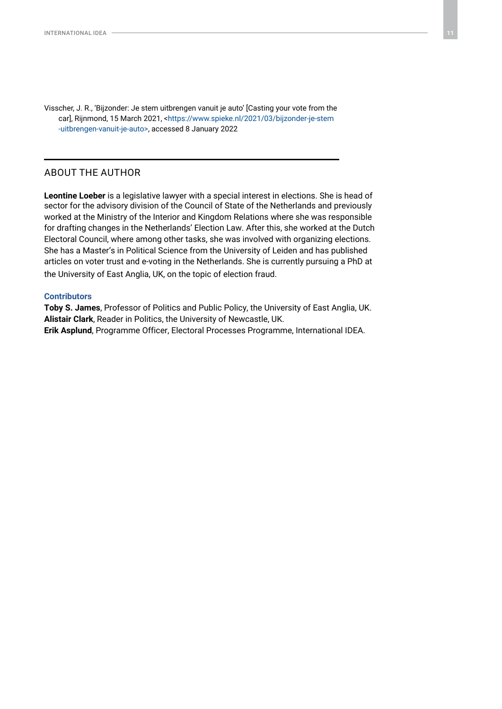Visscher, J. R., 'Bijzonder: Je stem uitbrengen vanuit je auto' [Casting your vote from the car], Rijnmond, 15 March 2021, [<https://www.spieke.nl/2021/03/bijzonder-je-stem](https://www.spieke.nl/2021/03/bijzonder-je-stem-uitbrengen-vanuit-je-auto) [-uitbrengen-vanuit-je-auto>](https://www.spieke.nl/2021/03/bijzonder-je-stem-uitbrengen-vanuit-je-auto), accessed 8 January 2022

# ABOUT THE AUTHOR

**Leontine Loeber** is a legislative lawyer with a special interest in elections. She is head of sector for the advisory division of the Council of State of the Netherlands and previously worked at the Ministry of the Interior and Kingdom Relations where she was responsible for drafting changes in the Netherlands' Election Law. After this, she worked at the Dutch Electoral Council, where among other tasks, she was involved with organizing elections. She has a Master's in Political Science from the University of Leiden and has published articles on voter trust and e-voting in the Netherlands. She is currently pursuing a PhD at the University of East Anglia, UK, on the topic of election fraud.

#### **Contributors**

**Toby S. James**, Professor of Politics and Public Policy, the University of East Anglia, UK. **Alistair Clark**, Reader in Politics, the University of Newcastle, UK. **Erik Asplund**, Programme Officer, Electoral Processes Programme, International IDEA.